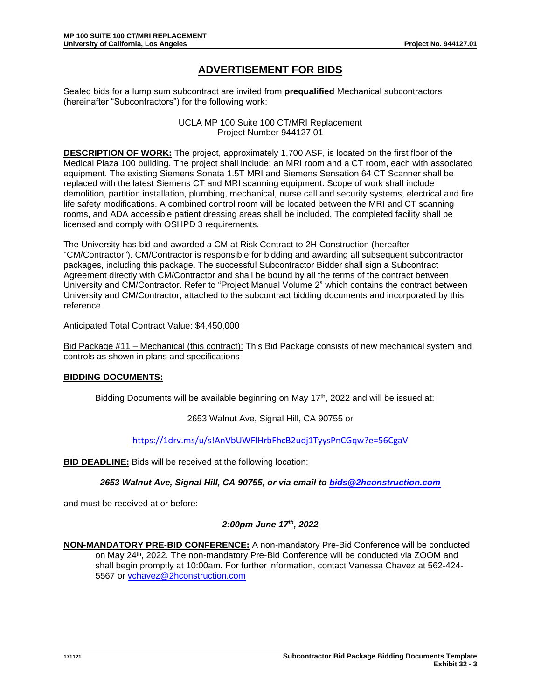## **ADVERTISEMENT FOR BIDS**

Sealed bids for a lump sum subcontract are invited from **prequalified** Mechanical subcontractors (hereinafter "Subcontractors") for the following work:

> UCLA MP 100 Suite 100 CT/MRI Replacement Project Number 944127.01

**DESCRIPTION OF WORK:** The project, approximately 1,700 ASF, is located on the first floor of the Medical Plaza 100 building. The project shall include: an MRI room and a CT room, each with associated equipment. The existing Siemens Sonata 1.5T MRI and Siemens Sensation 64 CT Scanner shall be replaced with the latest Siemens CT and MRI scanning equipment. Scope of work shall include demolition, partition installation, plumbing, mechanical, nurse call and security systems, electrical and fire life safety modifications. A combined control room will be located between the MRI and CT scanning rooms, and ADA accessible patient dressing areas shall be included. The completed facility shall be licensed and comply with OSHPD 3 requirements.

The University has bid and awarded a CM at Risk Contract to 2H Construction (hereafter "CM/Contractor"). CM/Contractor is responsible for bidding and awarding all subsequent subcontractor packages, including this package. The successful Subcontractor Bidder shall sign a Subcontract Agreement directly with CM/Contractor and shall be bound by all the terms of the contract between University and CM/Contractor. Refer to "Project Manual Volume 2" which contains the contract between University and CM/Contractor, attached to the subcontract bidding documents and incorporated by this reference.

Anticipated Total Contract Value: \$4,450,000

Bid Package #11 – Mechanical (this contract): This Bid Package consists of new mechanical system and controls as shown in plans and specifications

## **BIDDING DOCUMENTS:**

Bidding Documents will be available beginning on May  $17<sup>th</sup>$ , 2022 and will be issued at:

2653 Walnut Ave, Signal Hill, CA 90755 or

<https://1drv.ms/u/s!AnVbUWFlHrbFhcB2udj1TyysPnCGqw?e=56CgaV>

**BID DEADLINE:** Bids will be received at the following location:

*2653 Walnut Ave, Signal Hill, CA 90755, or via email to [bids@2hconstruction.com](mailto:bids@2hconstruction.com)*

and must be received at or before:

## *2:00pm June 17th, 2022*

**NON-MANDATORY PRE-BID CONFERENCE:** A non-mandatory Pre-Bid Conference will be conducted on May 24<sup>th</sup>, 2022. The non-mandatory Pre-Bid Conference will be conducted via ZOOM and shall begin promptly at 10:00am*.* For further information, contact Vanessa Chavez at 562-424- 5567 or [vchavez@2hconstruction.com](mailto:vchavez@2hconstruction.com)